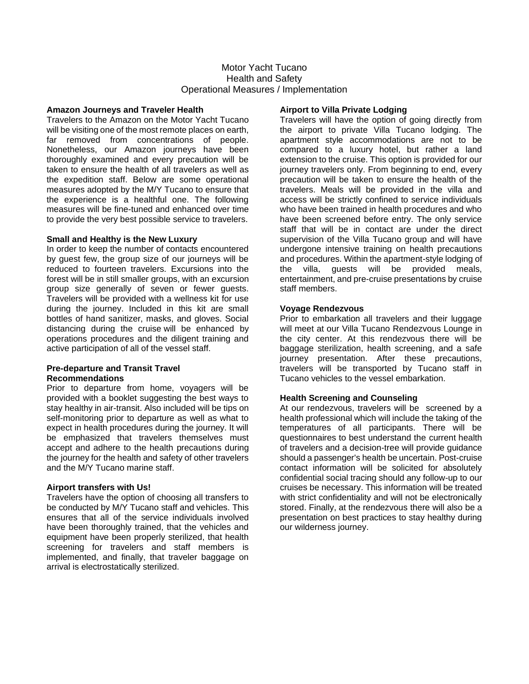# Motor Yacht Tucano Health and Safety Operational Measures / Implementation

### **Amazon Journeys and Traveler Health**

Travelers to the Amazon on the Motor Yacht Tucano will be visiting one of the most remote places on earth. far removed from concentrations of people. Nonetheless, our Amazon journeys have been thoroughly examined and every precaution will be taken to ensure the health of all travelers as well as the expedition staff. Below are some operational measures adopted by the M/Y Tucano to ensure that the experience is a healthful one. The following measures will be fine-tuned and enhanced over time to provide the very best possible service to travelers.

### **Small and Healthy is the New Luxury**

In order to keep the number of contacts encountered by guest few, the group size of our journeys will be reduced to fourteen travelers. Excursions into the forest will be in still smaller groups, with an excursion group size generally of seven or fewer guests. Travelers will be provided with a wellness kit for use during the journey. Included in this kit are small bottles of hand sanitizer, masks, and gloves. Social distancing during the cruise will be enhanced by operations procedures and the diligent training and active participation of all of the vessel staff.

### **Pre-departure and Transit Travel Recommendations**

Prior to departure from home, voyagers will be provided with a booklet suggesting the best ways to stay healthy in air-transit. Also included will be tips on self-monitoring prior to departure as well as what to expect in health procedures during the journey. It will be emphasized that travelers themselves must accept and adhere to the health precautions during the journey for the health and safety of other travelers and the M/Y Tucano marine staff.

## **Airport transfers with Us!**

Travelers have the option of choosing all transfers to be conducted by M/Y Tucano staff and vehicles. This ensures that all of the service individuals involved have been thoroughly trained, that the vehicles and equipment have been properly sterilized, that health screening for travelers and staff members is implemented, and finally, that traveler baggage on arrival is electrostatically sterilized.

# **Airport to Villa Private Lodging**

Travelers will have the option of going directly from the airport to private Villa Tucano lodging. The apartment style accommodations are not to be compared to a luxury hotel, but rather a land extension to the cruise. This option is provided for our journey travelers only. From beginning to end, every precaution will be taken to ensure the health of the travelers. Meals will be provided in the villa and access will be strictly confined to service individuals who have been trained in health procedures and who have been screened before entry. The only service staff that will be in contact are under the direct supervision of the Villa Tucano group and will have undergone intensive training on health precautions and procedures. Within the apartment-style lodging of the villa, guests will be provided meals, entertainment, and pre-cruise presentations by cruise staff members.

## **Voyage Rendezvous**

Prior to embarkation all travelers and their luggage will meet at our Villa Tucano Rendezvous Lounge in the city center. At this rendezvous there will be baggage sterilization, health screening, and a safe journey presentation. After these precautions, travelers will be transported by Tucano staff in Tucano vehicles to the vessel embarkation.

## **Health Screening and Counseling**

At our rendezvous, travelers will be screened by a health professional which will include the taking of the temperatures of all participants. There will be questionnaires to best understand the current health of travelers and a decision-tree will provide guidance should a passenger's health be uncertain. Post-cruise contact information will be solicited for absolutely confidential social tracing should any follow-up to our cruises be necessary. This information will be treated with strict confidentiality and will not be electronically stored. Finally, at the rendezvous there will also be a presentation on best practices to stay healthy during our wilderness journey.